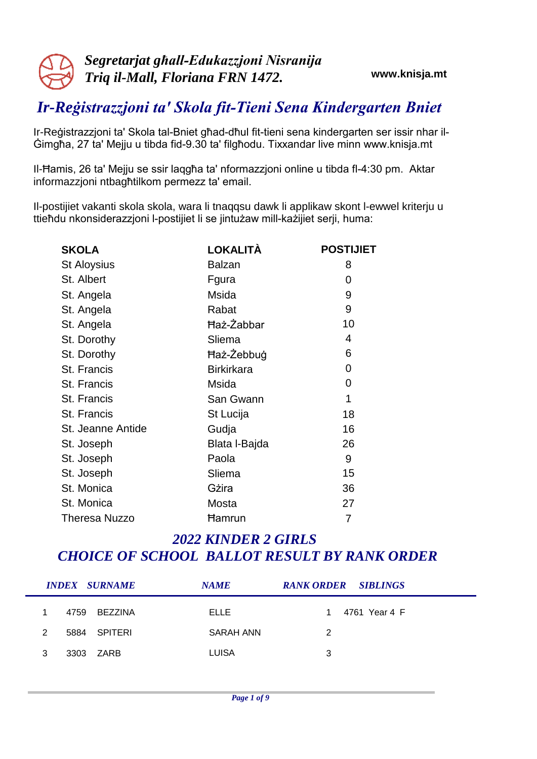# *Ir-Reġistrazzjoni ta' Skola fit-Tieni Sena Kindergarten Bniet*

Ir-Reġistrazzjoni ta' Skola tal-Bniet għad-dħul fit-tieni sena kindergarten ser issir nhar il-Ġimgħa, 27 ta' Mejju u tibda fid-9.30 ta' filgħodu. Tixxandar live minn www.knisja.mt

Il-Ħamis, 26 ta' Mejju se ssir laqgħa ta' nformazzjoni online u tibda fl-4:30 pm. Aktar informazzjoni ntbagħtilkom permezz ta' email.

Il-postijiet vakanti skola skola, wara li tnaqqsu dawk li applikaw skont l-ewwel kriterju u ttieħdu nkonsiderazzjoni l-postijiet li se jintużaw mill-każijiet serji, huma:

| <b>SKOLA</b>         | LOKALITÀ          | <b>POSTIJIET</b> |
|----------------------|-------------------|------------------|
| <b>St Aloysius</b>   | Balzan            | 8                |
| St. Albert           | Fgura             | 0                |
| St. Angela           | Msida             | 9                |
| St. Angela           | Rabat             | 9                |
| St. Angela           | Haż-Żabbar        | 10               |
| St. Dorothy          | Sliema            | 4                |
| St. Dorothy          | Haż-Żebbug        | 6                |
| St. Francis          | <b>Birkirkara</b> | 0                |
| St. Francis          | Msida             | 0                |
| St. Francis          | San Gwann         | 1                |
| St. Francis          | St Lucija         | 18               |
| St. Jeanne Antide    | Gudja             | 16               |
| St. Joseph           | Blata I-Bajda     | 26               |
| St. Joseph           | Paola             | 9                |
| St. Joseph           | Sliema            | 15               |
| St. Monica           | Gżira             | 36               |
| St. Monica           | Mosta             | 27               |
| <b>Theresa Nuzzo</b> | Ħamrun            | 7                |

|   | <b>INDEX SURNAME</b> | <b>NAME</b>  | <b>RANK ORDER SIBLINGS</b> |
|---|----------------------|--------------|----------------------------|
|   | 4759<br>BEZZINA      | ELLE         | 4761 Year 4 F              |
| 2 | SPITERI<br>5884      | SARAH ANN    | 2                          |
| 3 | 3303 ZARB            | <b>LUISA</b> | 3                          |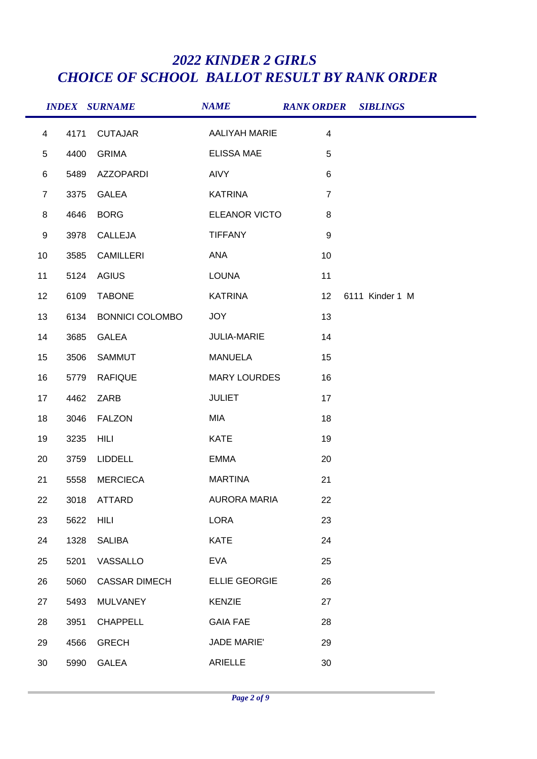|                |      | <b>INDEX SURNAME</b>   | <b>NAME</b>          | <b>RANK ORDER SIBLINGS</b> |                 |  |
|----------------|------|------------------------|----------------------|----------------------------|-----------------|--|
| $\overline{4}$ | 4171 | <b>CUTAJAR</b>         | <b>AALIYAH MARIE</b> | $\overline{4}$             |                 |  |
| $\overline{5}$ | 4400 | <b>GRIMA</b>           | <b>ELISSA MAE</b>    | $5\phantom{.0}$            |                 |  |
| $\,6$          | 5489 | AZZOPARDI              | <b>AIVY</b>          | $\,6\,$                    |                 |  |
| $\overline{7}$ | 3375 | <b>GALEA</b>           | <b>KATRINA</b>       | $\overline{7}$             |                 |  |
| 8              | 4646 | <b>BORG</b>            | ELEANOR VICTO        | 8                          |                 |  |
| 9              | 3978 | CALLEJA                | <b>TIFFANY</b>       | $\boldsymbol{9}$           |                 |  |
| 10             | 3585 | <b>CAMILLERI</b>       | ANA                  | 10                         |                 |  |
| 11             | 5124 | <b>AGIUS</b>           | LOUNA                | 11                         |                 |  |
| 12             | 6109 | <b>TABONE</b>          | KATRINA              | 12                         | 6111 Kinder 1 M |  |
| 13             | 6134 | <b>BONNICI COLOMBO</b> | <b>JOY</b>           | 13                         |                 |  |
| 14             | 3685 | <b>GALEA</b>           | JULIA-MARIE          | 14                         |                 |  |
| 15             | 3506 | SAMMUT                 | <b>MANUELA</b>       | 15                         |                 |  |
| 16             | 5779 | <b>RAFIQUE</b>         | <b>MARY LOURDES</b>  | 16                         |                 |  |
| 17             | 4462 | ZARB                   | <b>JULIET</b>        | 17                         |                 |  |
| 18             | 3046 | <b>FALZON</b>          | MIA                  | 18                         |                 |  |
| 19             | 3235 | HILI                   | <b>KATE</b>          | 19                         |                 |  |
| 20             | 3759 | LIDDELL                | <b>EMMA</b>          | 20                         |                 |  |
| 21             | 5558 | <b>MERCIECA</b>        | <b>MARTINA</b>       | 21                         |                 |  |
| 22             |      | 3018 ATTARD            | <b>AURORA MARIA</b>  | 22                         |                 |  |
| 23             | 5622 | HILI                   | <b>LORA</b>          | 23                         |                 |  |
| 24             | 1328 | SALIBA                 | <b>KATE</b>          | 24                         |                 |  |
| 25             | 5201 | VASSALLO               | <b>EVA</b>           | 25                         |                 |  |
| 26             | 5060 | <b>CASSAR DIMECH</b>   | <b>ELLIE GEORGIE</b> | 26                         |                 |  |
| 27             | 5493 | MULVANEY               | <b>KENZIE</b>        | 27                         |                 |  |
| 28             | 3951 | CHAPPELL               | <b>GAIA FAE</b>      | 28                         |                 |  |
| 29             | 4566 | <b>GRECH</b>           | <b>JADE MARIE'</b>   | 29                         |                 |  |
| 30             | 5990 | <b>GALEA</b>           | ARIELLE              | 30                         |                 |  |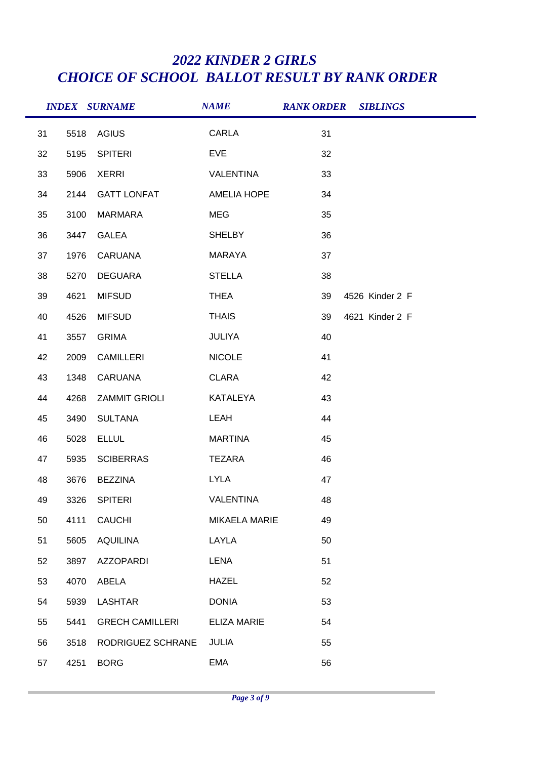|    |      | <b>INDEX SURNAME</b>    | <b>NAME</b>        | <b>RANK ORDER SIBLINGS</b> |                 |
|----|------|-------------------------|--------------------|----------------------------|-----------------|
| 31 | 5518 | AGIUS                   | CARLA              | 31                         |                 |
| 32 | 5195 | <b>SPITERI</b>          | <b>EVE</b>         | 32                         |                 |
| 33 | 5906 | <b>XERRI</b>            | VALENTINA          | 33                         |                 |
| 34 | 2144 | <b>GATT LONFAT</b>      | <b>AMELIA HOPE</b> | 34                         |                 |
| 35 | 3100 | MARMARA                 | <b>MEG</b>         | 35                         |                 |
| 36 | 3447 | <b>GALEA</b>            | <b>SHELBY</b>      | 36                         |                 |
| 37 | 1976 | CARUANA                 | MARAYA             | 37                         |                 |
| 38 | 5270 | DEGUARA                 | <b>STELLA</b>      | 38                         |                 |
| 39 | 4621 | <b>MIFSUD</b>           | <b>THEA</b>        | 39                         | 4526 Kinder 2 F |
| 40 | 4526 | <b>MIFSUD</b>           | <b>THAIS</b>       | 39                         | 4621 Kinder 2 F |
| 41 | 3557 | <b>GRIMA</b>            | <b>JULIYA</b>      | 40                         |                 |
| 42 | 2009 | CAMILLERI               | <b>NICOLE</b>      | 41                         |                 |
| 43 | 1348 | CARUANA                 | <b>CLARA</b>       | 42                         |                 |
| 44 | 4268 | <b>ZAMMIT GRIOLI</b>    | KATALEYA           | 43                         |                 |
| 45 | 3490 | SULTANA                 | LEAH               | 44                         |                 |
| 46 | 5028 | <b>ELLUL</b>            | <b>MARTINA</b>     | 45                         |                 |
| 47 | 5935 | <b>SCIBERRAS</b>        | TEZARA             | 46                         |                 |
| 48 | 3676 | <b>BEZZINA</b>          | <b>LYLA</b>        | 47                         |                 |
| 49 |      | 3326 SPITERI            | <b>VALENTINA</b>   | 48                         |                 |
| 50 | 4111 | CAUCHI                  | MIKAELA MARIE      | 49                         |                 |
| 51 | 5605 | AQUILINA                | LAYLA              | 50                         |                 |
| 52 | 3897 | AZZOPARDI               | LENA               | 51                         |                 |
| 53 | 4070 | ABELA                   | <b>HAZEL</b>       | 52                         |                 |
| 54 | 5939 | LASHTAR                 | <b>DONIA</b>       | 53                         |                 |
| 55 | 5441 | <b>GRECH CAMILLERI</b>  | <b>ELIZA MARIE</b> | 54                         |                 |
| 56 | 3518 | RODRIGUEZ SCHRANE JULIA |                    | 55                         |                 |
| 57 | 4251 | <b>BORG</b>             | EMA                | 56                         |                 |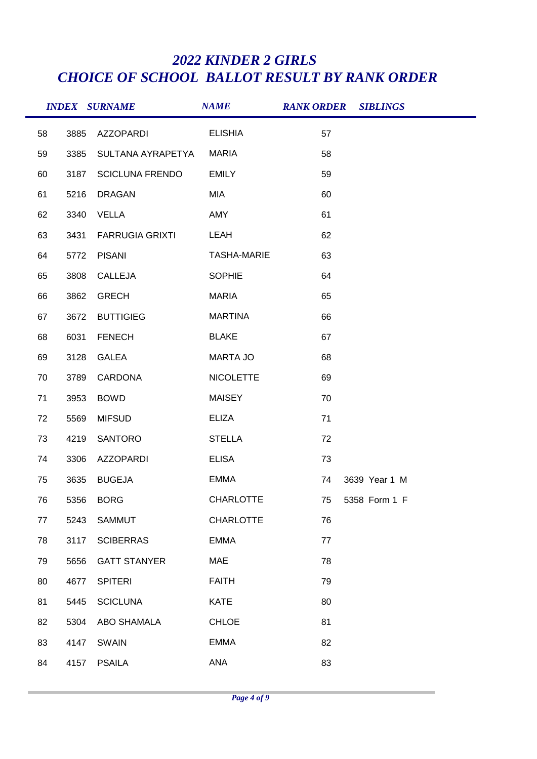|    |      | <b>INDEX SURNAME</b>   | <b>NAME</b>        |    | <b>RANK ORDER SIBLINGS</b> |
|----|------|------------------------|--------------------|----|----------------------------|
| 58 | 3885 | AZZOPARDI              | <b>ELISHIA</b>     | 57 |                            |
| 59 | 3385 | SULTANA AYRAPETYA      | <b>MARIA</b>       | 58 |                            |
| 60 | 3187 | <b>SCICLUNA FRENDO</b> | <b>EMILY</b>       | 59 |                            |
| 61 | 5216 | <b>DRAGAN</b>          | MIA                | 60 |                            |
| 62 | 3340 | VELLA                  | AMY                | 61 |                            |
| 63 | 3431 | <b>FARRUGIA GRIXTI</b> | <b>LEAH</b>        | 62 |                            |
| 64 | 5772 | <b>PISANI</b>          | <b>TASHA-MARIE</b> | 63 |                            |
| 65 | 3808 | CALLEJA                | <b>SOPHIE</b>      | 64 |                            |
| 66 | 3862 | <b>GRECH</b>           | <b>MARIA</b>       | 65 |                            |
| 67 | 3672 | <b>BUTTIGIEG</b>       | <b>MARTINA</b>     | 66 |                            |
| 68 | 6031 | <b>FENECH</b>          | <b>BLAKE</b>       | 67 |                            |
| 69 | 3128 | <b>GALEA</b>           | MARTA JO           | 68 |                            |
| 70 | 3789 | CARDONA                | <b>NICOLETTE</b>   | 69 |                            |
| 71 | 3953 | <b>BOWD</b>            | <b>MAISEY</b>      | 70 |                            |
| 72 | 5569 | <b>MIFSUD</b>          | <b>ELIZA</b>       | 71 |                            |
| 73 | 4219 | SANTORO                | <b>STELLA</b>      | 72 |                            |
| 74 | 3306 | AZZOPARDI              | <b>ELISA</b>       | 73 |                            |
| 75 | 3635 | <b>BUGEJA</b>          | EMMA               | 74 | 3639 Year 1 M              |
| 76 | 5356 | <b>BORG</b>            | <b>CHARLOTTE</b>   | 75 | 5358 Form 1 F              |
| 77 | 5243 | <b>SAMMUT</b>          | <b>CHARLOTTE</b>   | 76 |                            |
| 78 | 3117 | <b>SCIBERRAS</b>       | <b>EMMA</b>        | 77 |                            |
| 79 | 5656 | <b>GATT STANYER</b>    | MAE                | 78 |                            |
| 80 | 4677 | <b>SPITERI</b>         | <b>FAITH</b>       | 79 |                            |
| 81 | 5445 | <b>SCICLUNA</b>        | <b>KATE</b>        | 80 |                            |
| 82 | 5304 | ABO SHAMALA            | <b>CHLOE</b>       | 81 |                            |
| 83 | 4147 | <b>SWAIN</b>           | <b>EMMA</b>        | 82 |                            |
| 84 | 4157 | <b>PSAILA</b>          | <b>ANA</b>         | 83 |                            |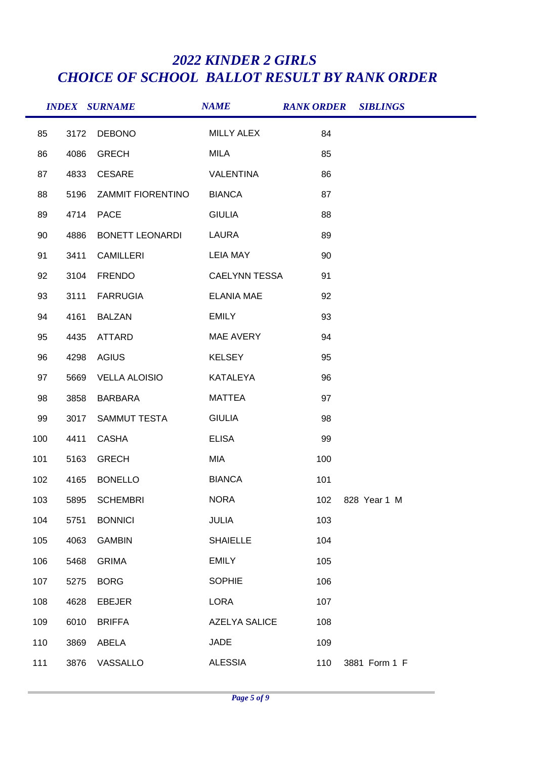|     |      | <b>INDEX SURNAME</b> | <b>NAME</b>          |     | <b>RANK ORDER SIBLINGS</b> |
|-----|------|----------------------|----------------------|-----|----------------------------|
| 85  | 3172 | <b>DEBONO</b>        | <b>MILLY ALEX</b>    | 84  |                            |
| 86  | 4086 | <b>GRECH</b>         | MILA                 | 85  |                            |
| 87  | 4833 | CESARE               | VALENTINA            | 86  |                            |
| 88  | 5196 | ZAMMIT FIORENTINO    | <b>BIANCA</b>        | 87  |                            |
| 89  | 4714 | <b>PACE</b>          | <b>GIULIA</b>        | 88  |                            |
| 90  | 4886 | BONETT LEONARDI      | LAURA                | 89  |                            |
| 91  | 3411 | CAMILLERI            | LEIA MAY             | 90  |                            |
| 92  | 3104 | FRENDO               | <b>CAELYNN TESSA</b> | 91  |                            |
| 93  | 3111 | <b>FARRUGIA</b>      | <b>ELANIA MAE</b>    | 92  |                            |
| 94  | 4161 | <b>BALZAN</b>        | EMILY                | 93  |                            |
| 95  | 4435 | ATTARD               | MAE AVERY            | 94  |                            |
| 96  | 4298 | <b>AGIUS</b>         | <b>KELSEY</b>        | 95  |                            |
| 97  | 5669 | <b>VELLA ALOISIO</b> | KATALEYA             | 96  |                            |
| 98  | 3858 | BARBARA              | <b>MATTEA</b>        | 97  |                            |
| 99  | 3017 | SAMMUT TESTA         | <b>GIULIA</b>        | 98  |                            |
| 100 | 4411 | <b>CASHA</b>         | <b>ELISA</b>         | 99  |                            |
| 101 | 5163 | <b>GRECH</b>         | MIA                  | 100 |                            |
| 102 | 4165 | <b>BONELLO</b>       | <b>BIANCA</b>        | 101 |                            |
| 103 | 5895 | <b>SCHEMBRI</b>      | <b>NORA</b>          | 102 | 828 Year 1 M               |
| 104 | 5751 | <b>BONNICI</b>       | JULIA                | 103 |                            |
| 105 | 4063 | <b>GAMBIN</b>        | <b>SHAIELLE</b>      | 104 |                            |
| 106 | 5468 | <b>GRIMA</b>         | EMILY                | 105 |                            |
| 107 | 5275 | <b>BORG</b>          | <b>SOPHIE</b>        | 106 |                            |
| 108 | 4628 | <b>EBEJER</b>        | <b>LORA</b>          | 107 |                            |
| 109 | 6010 | <b>BRIFFA</b>        | <b>AZELYA SALICE</b> | 108 |                            |
| 110 | 3869 | ABELA                | <b>JADE</b>          | 109 |                            |
| 111 | 3876 | VASSALLO             | <b>ALESSIA</b>       | 110 | 3881 Form 1 F              |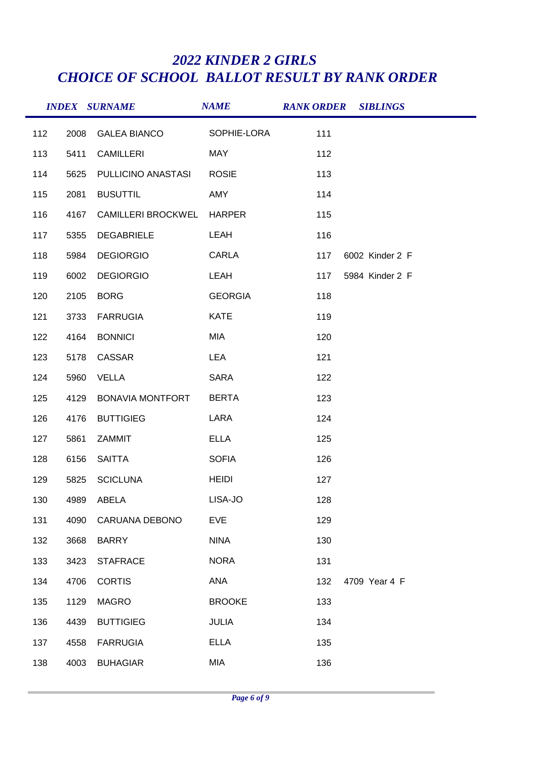|     |      | <b>INDEX SURNAME</b>      | <b>NAME</b>    | <b>RANK ORDER SIBLINGS</b> |                 |
|-----|------|---------------------------|----------------|----------------------------|-----------------|
| 112 | 2008 | <b>GALEA BIANCO</b>       | SOPHIE-LORA    | 111                        |                 |
| 113 | 5411 | CAMILLERI                 | MAY            | 112                        |                 |
| 114 | 5625 | PULLICINO ANASTASI        | <b>ROSIE</b>   | 113                        |                 |
| 115 | 2081 | <b>BUSUTTIL</b>           | AMY            | 114                        |                 |
| 116 | 4167 | <b>CAMILLERI BROCKWEL</b> | HARPER         | 115                        |                 |
| 117 | 5355 | <b>DEGABRIELE</b>         | LEAH           | 116                        |                 |
| 118 | 5984 | <b>DEGIORGIO</b>          | CARLA          | 117                        | 6002 Kinder 2 F |
| 119 | 6002 | <b>DEGIORGIO</b>          | LEAH           | 117                        | 5984 Kinder 2 F |
| 120 | 2105 | <b>BORG</b>               | <b>GEORGIA</b> | 118                        |                 |
| 121 | 3733 | <b>FARRUGIA</b>           | <b>KATE</b>    | 119                        |                 |
| 122 | 4164 | <b>BONNICI</b>            | MIA            | 120                        |                 |
| 123 | 5178 | CASSAR                    | <b>LEA</b>     | 121                        |                 |
| 124 | 5960 | <b>VELLA</b>              | <b>SARA</b>    | 122                        |                 |
| 125 | 4129 | <b>BONAVIA MONTFORT</b>   | <b>BERTA</b>   | 123                        |                 |
| 126 | 4176 | <b>BUTTIGIEG</b>          | LARA           | 124                        |                 |
| 127 | 5861 | ZAMMIT                    | <b>ELLA</b>    | 125                        |                 |
| 128 | 6156 | SAITTA                    | <b>SOFIA</b>   | 126                        |                 |
| 129 | 5825 | <b>SCICLUNA</b>           | <b>HEIDI</b>   | 127                        |                 |
| 130 |      | 4989 ABELA                | LISA-JO        | 128                        |                 |
| 131 | 4090 | CARUANA DEBONO            | <b>EVE</b>     | 129                        |                 |
| 132 | 3668 | BARRY                     | <b>NINA</b>    | 130                        |                 |
| 133 | 3423 | <b>STAFRACE</b>           | <b>NORA</b>    | 131                        |                 |
| 134 | 4706 | <b>CORTIS</b>             | ANA            | 132                        | 4709 Year 4 F   |
| 135 | 1129 | <b>MAGRO</b>              | <b>BROOKE</b>  | 133                        |                 |
| 136 | 4439 | <b>BUTTIGIEG</b>          | <b>JULIA</b>   | 134                        |                 |
| 137 | 4558 | <b>FARRUGIA</b>           | <b>ELLA</b>    | 135                        |                 |
| 138 | 4003 | <b>BUHAGIAR</b>           | MIA            | 136                        |                 |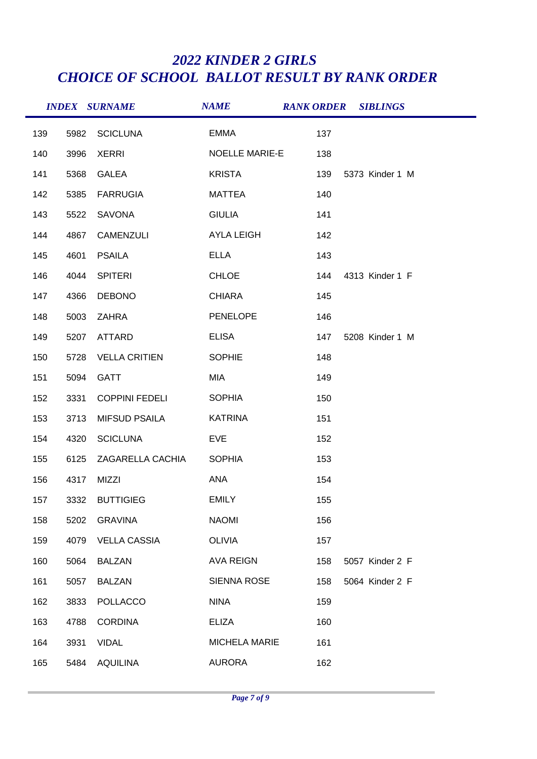|     |      | <b>INDEX SURNAME</b>  | <b>NAME</b>           | <b>RANK ORDER SIBLINGS</b> |  |
|-----|------|-----------------------|-----------------------|----------------------------|--|
| 139 | 5982 | <b>SCICLUNA</b>       | <b>EMMA</b>           | 137                        |  |
| 140 | 3996 | <b>XERRI</b>          | <b>NOELLE MARIE-E</b> | 138                        |  |
| 141 | 5368 | <b>GALEA</b>          | <b>KRISTA</b>         | 139<br>5373 Kinder 1 M     |  |
| 142 | 5385 | <b>FARRUGIA</b>       | MATTEA                | 140                        |  |
| 143 | 5522 | SAVONA                | <b>GIULIA</b>         | 141                        |  |
| 144 | 4867 | CAMENZULI             | <b>AYLA LEIGH</b>     | 142                        |  |
| 145 | 4601 | <b>PSAILA</b>         | <b>ELLA</b>           | 143                        |  |
| 146 | 4044 | <b>SPITERI</b>        | <b>CHLOE</b>          | 144<br>4313 Kinder 1 F     |  |
| 147 | 4366 | <b>DEBONO</b>         | <b>CHIARA</b>         | 145                        |  |
| 148 | 5003 | ZAHRA                 | <b>PENELOPE</b>       | 146                        |  |
| 149 | 5207 | ATTARD                | <b>ELISA</b>          | 147<br>5208 Kinder 1 M     |  |
| 150 | 5728 | <b>VELLA CRITIEN</b>  | <b>SOPHIE</b>         | 148                        |  |
| 151 | 5094 | <b>GATT</b>           | MIA                   | 149                        |  |
| 152 | 3331 | <b>COPPINI FEDELI</b> | <b>SOPHIA</b>         | 150                        |  |
| 153 | 3713 | <b>MIFSUD PSAILA</b>  | <b>KATRINA</b>        | 151                        |  |
| 154 | 4320 | <b>SCICLUNA</b>       | <b>EVE</b>            | 152                        |  |
| 155 | 6125 | ZAGARELLA CACHIA      | <b>SOPHIA</b>         | 153                        |  |
| 156 | 4317 | MIZZI                 | ANA                   | 154                        |  |
| 157 |      | 3332 BUTTIGIEG        | EMILY                 | 155                        |  |
| 158 | 5202 | GRAVINA               | <b>NAOMI</b>          | 156                        |  |
| 159 | 4079 | <b>VELLA CASSIA</b>   | <b>OLIVIA</b>         | 157                        |  |
| 160 | 5064 | BALZAN                | AVA REIGN             | 158<br>5057 Kinder 2 F     |  |
| 161 | 5057 | <b>BALZAN</b>         | SIENNA ROSE           | 158<br>5064 Kinder 2 F     |  |
| 162 | 3833 | <b>POLLACCO</b>       | <b>NINA</b>           | 159                        |  |
| 163 | 4788 | <b>CORDINA</b>        | ELIZA                 | 160                        |  |
| 164 | 3931 | <b>VIDAL</b>          | <b>MICHELA MARIE</b>  | 161                        |  |
| 165 | 5484 | AQUILINA              | AURORA                | 162                        |  |
|     |      |                       |                       |                            |  |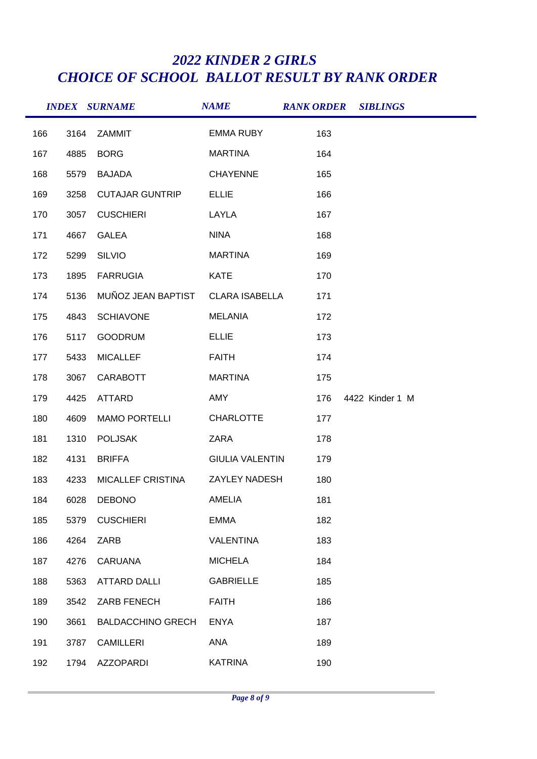|     |      | <b>INDEX SURNAME</b>              | <b>NAME</b>            |     | <b>RANK ORDER SIBLINGS</b> |  |
|-----|------|-----------------------------------|------------------------|-----|----------------------------|--|
| 166 | 3164 | ZAMMIT                            | <b>EMMA RUBY</b>       | 163 |                            |  |
| 167 | 4885 | <b>BORG</b>                       | <b>MARTINA</b>         | 164 |                            |  |
| 168 | 5579 | BAJADA                            | <b>CHAYENNE</b>        | 165 |                            |  |
| 169 | 3258 | <b>CUTAJAR GUNTRIP</b>            | <b>ELLIE</b>           | 166 |                            |  |
| 170 | 3057 | <b>CUSCHIERI</b>                  | LAYLA                  | 167 |                            |  |
| 171 | 4667 | <b>GALEA</b>                      | <b>NINA</b>            | 168 |                            |  |
| 172 | 5299 | <b>SILVIO</b>                     | <b>MARTINA</b>         | 169 |                            |  |
| 173 | 1895 | <b>FARRUGIA</b>                   | <b>KATE</b>            | 170 |                            |  |
| 174 | 5136 | MUÑOZ JEAN BAPTIST CLARA ISABELLA |                        | 171 |                            |  |
| 175 | 4843 | <b>SCHIAVONE</b>                  | <b>MELANIA</b>         | 172 |                            |  |
| 176 | 5117 | <b>GOODRUM</b>                    | <b>ELLIE</b>           | 173 |                            |  |
| 177 | 5433 | <b>MICALLEF</b>                   | <b>FAITH</b>           | 174 |                            |  |
| 178 | 3067 | <b>CARABOTT</b>                   | <b>MARTINA</b>         | 175 |                            |  |
| 179 | 4425 | ATTARD                            | AMY                    | 176 | 4422 Kinder 1 M            |  |
| 180 | 4609 | <b>MAMO PORTELLI</b>              | <b>CHARLOTTE</b>       | 177 |                            |  |
| 181 | 1310 | <b>POLJSAK</b>                    | ZARA                   | 178 |                            |  |
| 182 | 4131 | <b>BRIFFA</b>                     | <b>GIULIA VALENTIN</b> | 179 |                            |  |
| 183 | 4233 | MICALLEF CRISTINA                 | ZAYLEY NADESH          | 180 |                            |  |
| 184 | 6028 | <b>DEBONO</b>                     | <b>AMELIA</b>          | 181 |                            |  |
| 185 | 5379 | <b>CUSCHIERI</b>                  | <b>EMMA</b>            | 182 |                            |  |
| 186 | 4264 | ZARB                              | <b>VALENTINA</b>       | 183 |                            |  |
| 187 | 4276 | <b>CARUANA</b>                    | <b>MICHELA</b>         | 184 |                            |  |
| 188 | 5363 | <b>ATTARD DALLI</b>               | <b>GABRIELLE</b>       | 185 |                            |  |
| 189 | 3542 | ZARB FENECH                       | <b>FAITH</b>           | 186 |                            |  |
| 190 | 3661 | <b>BALDACCHINO GRECH</b>          | <b>ENYA</b>            | 187 |                            |  |
| 191 | 3787 | <b>CAMILLERI</b>                  | ANA                    | 189 |                            |  |
| 192 | 1794 | <b>AZZOPARDI</b>                  | <b>KATRINA</b>         | 190 |                            |  |